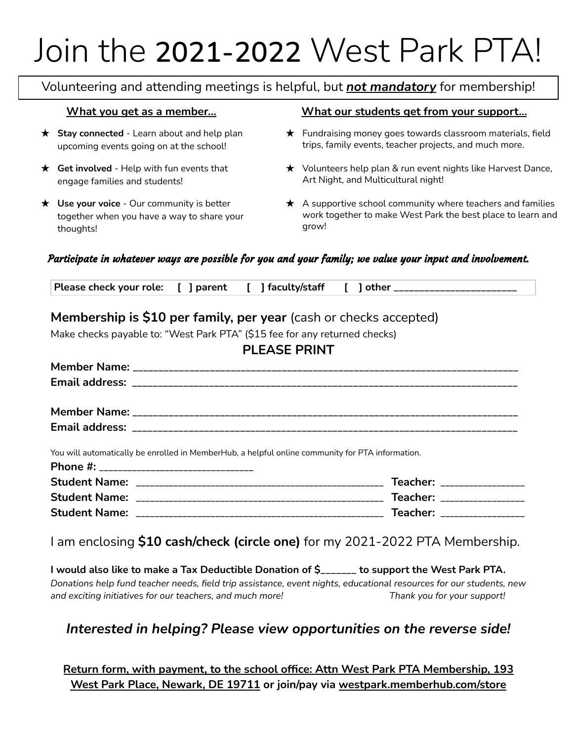# Join the **2021-2022** West Park PTA!

Volunteering and attending meetings is helpful, but *not mandatory* for membership!

- ★ **Stay connected** Learn about and help plan upcoming events going on at the school!
- ★ **Get involved** Help with fun events that engage families and students!
- ★ **Use your voice** Our community is better together when you have a way to share your thoughts!

### **What you get as a member... What our students get from your support...**

- ★ Fundraising money goes towards classroom materials, field trips, family events, teacher projects, and much more.
- ★ Volunteers help plan & run event nights like Harvest Dance, Art Night, and Multicultural night!
- $\star$  A supportive school community where teachers and families work together to make West Park the best place to learn and grow!

### Participate in whatever ways are possible for you and your family; we value your input and involvement.

| Please check your role: [ ] parent [ ] faculty/staff [ ] other __________________ |  |
|-----------------------------------------------------------------------------------|--|
|-----------------------------------------------------------------------------------|--|

## **Membership is \$10 per family, per year** (cash or checks accepted)

Make checks payable to: "West Park PTA" (\$15 fee for any returned checks)

| <b>PLEASE PRINT</b>                                                                              |  |
|--------------------------------------------------------------------------------------------------|--|
|                                                                                                  |  |
|                                                                                                  |  |
|                                                                                                  |  |
|                                                                                                  |  |
| You will automatically be enrolled in MemberHub, a helpful online community for PTA information. |  |
| Phone #: _________________________________                                                       |  |
|                                                                                                  |  |

| .                    |       |          |  |
|----------------------|-------|----------|--|
| <b>Student Name:</b> |       | Teacher: |  |
| <b>Student Name:</b> | _____ | Teacher: |  |

I am enclosing **\$10 cash/check (circle one)** for my 2021-2022 PTA Membership.

**I would also like to make a Tax Deductible Donation of \$\_\_\_\_\_\_\_ to support the West Park PTA.** Donations help fund teacher needs, field trip assistance, event nights, educational resources for our students, new *and exciting initiatives for our teachers, and much more! Thank you for your support!*

## *Interested in helping? Please view opportunities on the reverse side!*

**Return form, with payment, to the school office: Attn West Park PTA Membership, 193 West Park Place, Newark, DE 19711 or join/pay via westpark.memberhub.com/store**